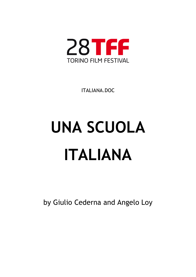

ITALIANA.DOC

# **UNA SCUOLA ITALIANA**

by Giulio Cederna and Angelo Loy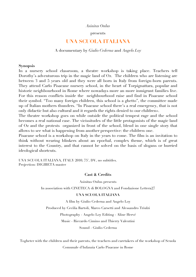*Asinitas Onlus*

### presents

## **UNA SCUOLA ITALIANA**

A documentary by *Giulio Cederna* and *Angelo Loy*

### **Synopsis**

In a nursery school classroom, a theatre workshop is taking place. Teachers tell Dorothy's adventurous trip in the magic land of Oz. The children who are listening are between 3 and 5 years old and they were all born in Italy from foreign-born parents. They attend Carlo Pisacane nursery school, in the heart of Torpignattara, popular and historic neighbourhood in Rome where nowadays more an more inmigrant families live. For this reason conflicts inside the neighbourhood raise and find in Pisacane school their symbol. "Too many foreign children, this school is a ghetto", the committee made up of Italian mothers thunders. "In Pisacane school there's a real emergency, that is not only didactic but also cultural and it regards the rights denied to our children».

The theatre workshop goes on while outside the political tempest rage and the school becomes a real national case. The vicissitudes of the little protagonists of the magic land of Oz and the protests organized in front of the school, blend in one single story that allows to see what is happening from another perspective: the children one.

Pisacane school is a workshop on Italy in the years to come. The film is an invitation to think without wearing blinkers about an epochal, complex theme, which is of great interest to the Country, and that cannot be solved on the basis of slogans or hurried ideological shortcuts.

UNA SCUOLA ITALIANA, ITALY 2010, 75', DV, no subtitles. Projection: DIGIBETA master

### **Cast & Credits**

Asinitas Onlus presents

In association with CINETECA di BOLOGNA and Fondazione Lettera27

### **UNA SCUOLA ITALIANA**

A film by Giulio Cederna and Angelo Loy

Produced by Cecilia Bartoli, Marco Carsetti and Alessandro Triulzi

Photography - Angelo Loy Editing - Aline Hervé

Music - Riccardo Cimino and Thierry Valentini

Sound - Giulio Cederna

Togheter with the children and their parents, the teachers and caretakers of the workshop of Scuola Comunale d'Infanzia Carlo Pisacane in Rome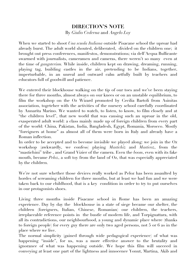# **DIRECTION'S NOTE** By *Giulio Cederna* and *Angelo Loy*

When we started to shoot *Una scuola Italiana* outside Pisacane school the uproar had already burst. The adult world shouted, deliberated, divided on the children one; it brought out press conferences, manifestos, demonstrations; via dell'Acqua Bullicante swarmed with journalists, cameramen and cameras, there weren't so many even at the time of *gangsterism.* While inside, children kept on drawing, dreaming, running, playing tag, building castles in the air, pretending to be Indians, together, imperturbable, in an unreal and outward calm artfully built by teachers and educators full of goodwill and patience.

We entered their blockhouse walking on the tip of our toes and we've been staying there for three months, almost always on our knees or on an unstable equilibrium, to film the workshop on the Oz Wizard promoted by Cecilia Bartoli from Asinitas association, togeteher with the activities of the nursery school carefully coordinated by Annarita Marino. We wanted to watch, to listen, to know, to film closely and at "the children level", that new world that was causing such an uproar in the old, exasperated adult world: a class mainly made up of foreign children from every part of the world: China, Pakistan, India, Bangladesh, Egypt, Romania, Morocco. Mostly "foreigners at home" as almost all of them were born in Italy and already have a Roman inflection.

In order to be accepted and to become invisible we played along: we join in the Oz workshop (awkwardly, we confess) playing *Mastichiz* and *Masticoz*, from the "mastichini" tribe , and Grand Vizier of the camera. Even the *boom*, even with its fake mouth, became *Peloz*, a soft toy from the land of Oz, that was especially appreciated by the children.

We're not sure whether those devices really worked as Peloz has been assaulted by hordes of screaming children for three months, but at least we had fun and we were taken back to our childhood, that is a key condition in order to try to put ourselves in our protagonists shoes.

Living three months inside Pisacane school in Rome has been an amazing experience. Day by day the blockhouse in a state of siege became our shelter, the children (foreigners, Italian, Chinese, Romanian) our children, the teachers, irreplaceable reference points in the bustle of modern life, and Torpignattara, with all its contradictions, our neighbourhood, a young and dynamic place where (thanks to foreign people) for every guy there are only two aged persons, not 5 or 6 as in the place where we live.

The normal simplicity (gained through wide pedagogical experience) of what was happening "inside", for us, was a more effective answer to the brutality and ignorance of what was happening outside. We hope this film will succeed in conveying at least one part of the lightness and innocence Yonut, Martina, Akib and